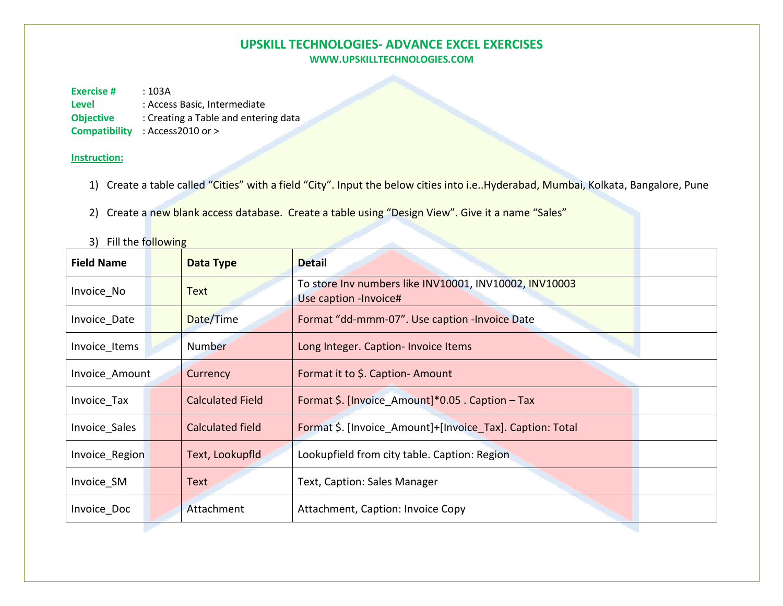## **UPSKILL TECHNOLOGIES- ADVANCE EXCEL EXERCISES WWW.UPSKILLTECHNOLOGIES.COM**

**Exercise #** : 103A **Level** : Access Basic, Intermediate

**Objective** : Creating a Table and entering data

**Compatibility** : Access2010 or >

## **Instruction:**

1) Create a table called "Cities" with a field "City". Input the below cities into i.e..Hyderabad, Mumbai, Kolkata, Bangalore, Pune

2) Create a new blank access database. Create a table using "Design View". Give it a name "Sales"

| <b>Field Name</b> |                                                                 | Data Type                                                                   | <b>Detail</b>                                                                    |  |  |
|-------------------|-----------------------------------------------------------------|-----------------------------------------------------------------------------|----------------------------------------------------------------------------------|--|--|
| Invoice No        |                                                                 | Text                                                                        | To store Inv numbers like INV10001, INV10002, INV10003<br>Use caption - Invoice# |  |  |
| Invoice Date      |                                                                 | Date/Time                                                                   | Format "dd-mmm-07". Use caption - Invoice Date                                   |  |  |
| Invoice_Items     |                                                                 | Number                                                                      | Long Integer. Caption- Invoice Items                                             |  |  |
| Invoice_Amount    |                                                                 | Currency                                                                    | Format it to \$. Caption-Amount                                                  |  |  |
| Invoice_Tax       |                                                                 | <b>Calculated Field</b><br>Format \$. [Invoice Amount]*0.05 . Caption - Tax |                                                                                  |  |  |
| Invoice Sales     |                                                                 | Calculated field                                                            | Format \$. [Invoice Amount]+[Invoice Tax]. Caption: Total                        |  |  |
| Invoice_Region    | Lookupfield from city table. Caption: Region<br>Text, Lookupfld |                                                                             |                                                                                  |  |  |
| Invoice SM        |                                                                 | Text                                                                        | Text, Caption: Sales Manager                                                     |  |  |
| Invoice_Doc       |                                                                 | Attachment                                                                  | Attachment, Caption: Invoice Copy                                                |  |  |

3) Fill the following